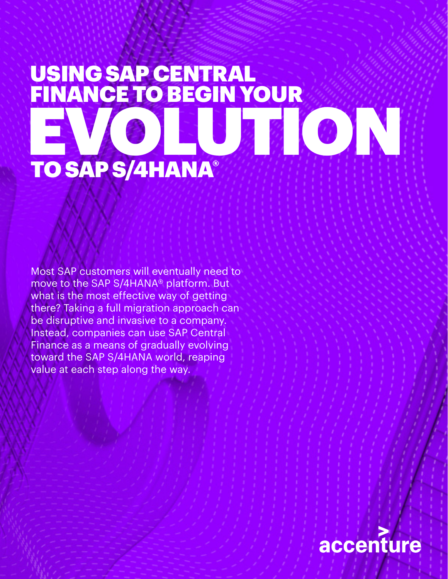# USING SAP CENTRAL FINANCE TO BEGIN YOUR EVOIN TO SAP S/4HANA®

Most SAP customers will eventually need to move to the SAP S/4HANA® platform. But what is the most effective way of getting there? Taking a full migration approach can be disruptive and invasive to a company. Instead, companies can use SAP Central Finance as a means of gradually evolving toward the SAP S/4HANA world, reaping value at each step along the way.

## accenture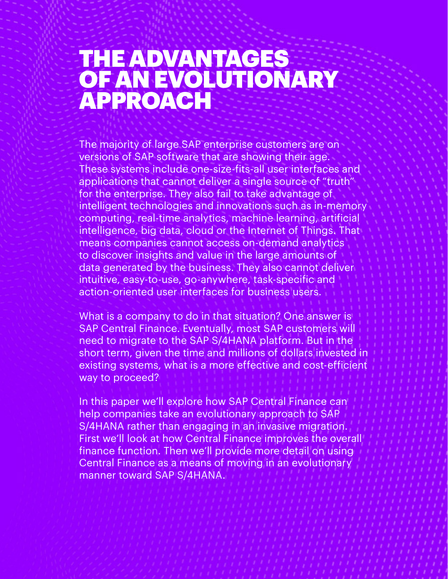## THE ADVANTAGES OF AN EVOLUTIONARY APPROACH

The majority of large SAP enterprise customers are on versions of SAP software that are showing their age. These systems include one-size-fits-all user interfaces and applications that cannot deliver a single source of "truth" for the enterprise. They also fail to take advantage of intelligent technologies and innovations such as in-memory computing, real-time analytics, machine learning, artificial intelligence, big data, cloud or the Internet of Things. That means companies cannot access on-demand analytics to discover insights and value in the large amounts of data generated by the business. They also cannot deliver intuitive, easy-to-use, go-anywhere, task-specific and action-oriented user interfaces for business users.

What is a company to do in that situation? One answer is SAP Central Finance. Eventually, most SAP customers will need to migrate to the SAP S/4HANA platform. But in the short term, given the time and millions of dollars invested in existing systems, what is a more effective and cost-efficient way to proceed?

In this paper we'll explore how SAP Central Finance can help companies take an evolutionary approach to SAP S/4HANA rather than engaging in an invasive migration. First we'll look at how Central Finance improves the overall finance function. Then we'll provide more detail on using Central Finance as a means of moving in an evolutionary manner toward SAP S/4HANA.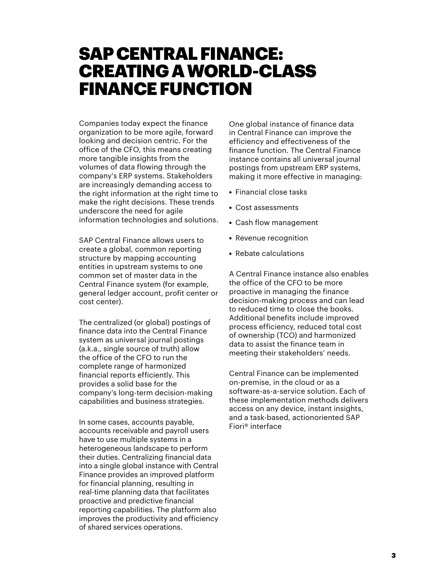### SAP CENTRAL FINANCE: CREATING A WORLD-CLASS FINANCE FUNCTION

Companies today expect the finance organization to be more agile, forward looking and decision centric. For the office of the CFO, this means creating more tangible insights from the volumes of data flowing through the company's ERP systems. Stakeholders are increasingly demanding access to the right information at the right time to make the right decisions. These trends underscore the need for agile information technologies and solutions.

SAP Central Finance allows users to create a global, common reporting structure by mapping accounting entities in upstream systems to one common set of master data in the Central Finance system (for example, general ledger account, profit center or cost center).

The centralized (or global) postings of finance data into the Central Finance system as universal journal postings (a.k.a., single source of truth) allow the office of the CFO to run the complete range of harmonized financial reports efficiently. This provides a solid base for the company's long-term decision-making capabilities and business strategies.

In some cases, accounts payable, accounts receivable and payroll users have to use multiple systems in a heterogeneous landscape to perform their duties. Centralizing financial data into a single global instance with Central Finance provides an improved platform for financial planning, resulting in real-time planning data that facilitates proactive and predictive financial reporting capabilities. The platform also improves the productivity and efficiency of shared services operations.

One global instance of finance data in Central Finance can improve the efficiency and effectiveness of the finance function. The Central Finance instance contains all universal journal postings from upstream ERP systems, making it more effective in managing:

- Financial close tasks
- Cost assessments
- Cash flow management
- Revenue recognition
- Rebate calculations

A Central Finance instance also enables the office of the CFO to be more proactive in managing the finance decision-making process and can lead to reduced time to close the books. Additional benefits include improved process efficiency, reduced total cost of ownership (TCO) and harmonized data to assist the finance team in meeting their stakeholders' needs.

Central Finance can be implemented on-premise, in the cloud or as a software-as-a-service solution. Each of these implementation methods delivers access on any device, instant insights, and a task-based, actionoriented SAP Fiori® interface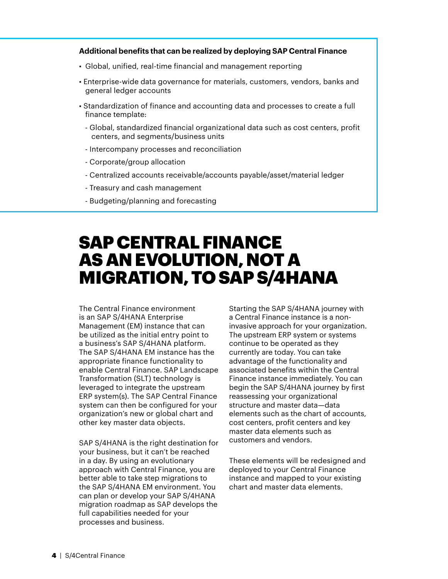#### **Additional benefits that can be realized by deploying SAP Central Finance**

- Global, unified, real-time financial and management reporting
- Enterprise-wide data governance for materials, customers, vendors, banks and general ledger accounts
- Standardization of finance and accounting data and processes to create a full finance template:
	- Global, standardized financial organizational data such as cost centers, profit centers, and segments/business units
	- Intercompany processes and reconciliation
	- Corporate/group allocation
	- Centralized accounts receivable/accounts payable/asset/material ledger
	- Treasury and cash management
	- Budgeting/planning and forecasting

### SAP CENTRAL FINANCE AS AN EVOLUTION, NOT A MIGRATION, TO SAP S/4HANA

The Central Finance environment is an SAP S/4HANA Enterprise Management (EM) instance that can be utilized as the initial entry point to a business's SAP S/4HANA platform. The SAP S/4HANA EM instance has the appropriate finance functionality to enable Central Finance. SAP Landscape Transformation (SLT) technology is leveraged to integrate the upstream ERP system(s). The SAP Central Finance system can then be configured for your organization's new or global chart and other key master data objects.

SAP S/4HANA is the right destination for your business, but it can't be reached in a day. By using an evolutionary approach with Central Finance, you are better able to take step migrations to the SAP S/4HANA EM environment. You can plan or develop your SAP S/4HANA migration roadmap as SAP develops the full capabilities needed for your processes and business.

Starting the SAP S/4HANA journey with a Central Finance instance is a noninvasive approach for your organization. The upstream ERP system or systems continue to be operated as they currently are today. You can take advantage of the functionality and associated benefits within the Central Finance instance immediately. You can begin the SAP S/4HANA journey by first reassessing your organizational structure and master data—data elements such as the chart of accounts, cost centers, profit centers and key master data elements such as customers and vendors.

These elements will be redesigned and deployed to your Central Finance instance and mapped to your existing chart and master data elements.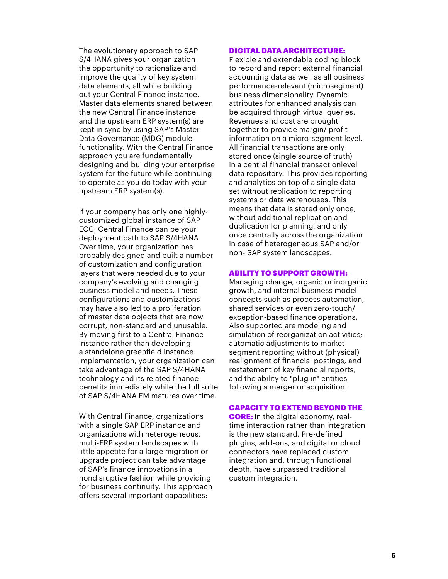The evolutionary approach to SAP S/4HANA gives your organization the opportunity to rationalize and improve the quality of key system data elements, all while building out your Central Finance instance. Master data elements shared between the new Central Finance instance and the upstream ERP system(s) are kept in sync by using SAP's Master Data Governance (MDG) module functionality. With the Central Finance approach you are fundamentally designing and building your enterprise system for the future while continuing to operate as you do today with your upstream ERP system(s).

If your company has only one highlycustomized global instance of SAP ECC, Central Finance can be your deployment path to SAP S/4HANA. Over time, your organization has probably designed and built a number of customization and configuration layers that were needed due to your company's evolving and changing business model and needs. These configurations and customizations may have also led to a proliferation of master data objects that are now corrupt, non-standard and unusable. By moving first to a Central Finance instance rather than developing a standalone greenfield instance implementation, your organization can take advantage of the SAP S/4HANA technology and its related finance benefits immediately while the full suite of SAP S/4HANA EM matures over time.

With Central Finance, organizations with a single SAP ERP instance and organizations with heterogeneous, multi-ERP system landscapes with little appetite for a large migration or upgrade project can take advantage of SAP's finance innovations in a nondisruptive fashion while providing for business continuity. This approach offers several important capabilities:

#### DIGITAL DATA ARCHITECTURE:

Flexible and extendable coding block to record and report external financial accounting data as well as all business performance-relevant (microsegment) business dimensionality. Dynamic attributes for enhanced analysis can be acquired through virtual queries. Revenues and cost are brought together to provide margin/ profit information on a micro-segment level. All financial transactions are only stored once (single source of truth) in a central financial transactionlevel data repository. This provides reporting and analytics on top of a single data set without replication to reporting systems or data warehouses. This means that data is stored only once, without additional replication and duplication for planning, and only once centrally across the organization in case of heterogeneous SAP and/or non- SAP system landscapes.

#### ABILITY TO SUPPORT GROWTH:

Managing change, organic or inorganic growth, and internal business model concepts such as process automation, shared services or even zero-touch/ exception-based finance operations. Also supported are modeling and simulation of reorganization activities; automatic adjustments to market segment reporting without (physical) realignment of financial postings, and restatement of key financial reports, and the ability to "plug in" entities following a merger or acquisition.

#### CAPACITY TO EXTEND BEYOND THE

**CORE:** In the digital economy, realtime interaction rather than integration is the new standard. Pre-defined plugins, add-ons, and digital or cloud connectors have replaced custom integration and, through functional depth, have surpassed traditional custom integration.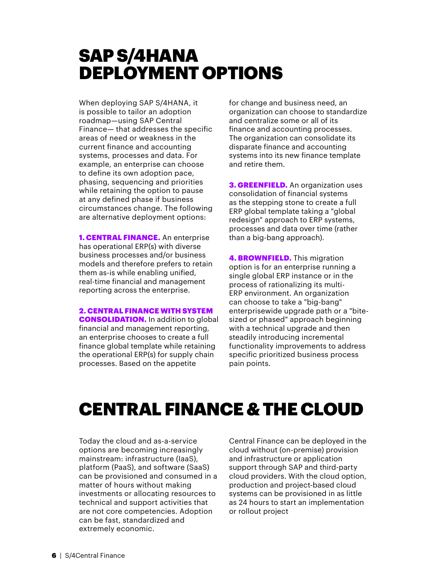### SAP S/4HANA DEPLOYMENT OPTIONS

When deploying SAP S/4HANA, it is possible to tailor an adoption roadmap—using SAP Central Finance— that addresses the specific areas of need or weakness in the current finance and accounting systems, processes and data. For example, an enterprise can choose to define its own adoption pace, phasing, sequencing and priorities while retaining the option to pause at any defined phase if business circumstances change. The following are alternative deployment options:

**1. CENTRAL FINANCE.** An enterprise has operational ERP(s) with diverse business processes and/or business models and therefore prefers to retain them as-is while enabling unified, real-time financial and management reporting across the enterprise.

#### 2. CENTRAL FINANCE WITH SYSTEM

**CONSOLIDATION.** In addition to global financial and management reporting, an enterprise chooses to create a full finance global template while retaining the operational ERP(s) for supply chain processes. Based on the appetite

for change and business need, an organization can choose to standardize and centralize some or all of its finance and accounting processes. The organization can consolidate its disparate finance and accounting systems into its new finance template and retire them.

**3. GREENFIELD.** An organization uses consolidation of financial systems as the stepping stone to create a full ERP global template taking a "global redesign" approach to ERP systems, processes and data over time (rather than a big-bang approach).

**4. BROWNFIELD.** This migration option is for an enterprise running a single global ERP instance or in the process of rationalizing its multi-ERP environment. An organization can choose to take a "big-bang" enterprisewide upgrade path or a "bitesized or phased" approach beginning with a technical upgrade and then steadily introducing incremental functionality improvements to address specific prioritized business process pain points.

### CENTRAL FINANCE & THE CLOUD

Today the cloud and as-a-service options are becoming increasingly mainstream: infrastructure (IaaS), platform (PaaS), and software (SaaS) can be provisioned and consumed in a matter of hours without making investments or allocating resources to technical and support activities that are not core competencies. Adoption can be fast, standardized and extremely economic.

Central Finance can be deployed in the cloud without (on-premise) provision and infrastructure or application support through SAP and third-party cloud providers. With the cloud option, production and project-based cloud systems can be provisioned in as little as 24 hours to start an implementation or rollout project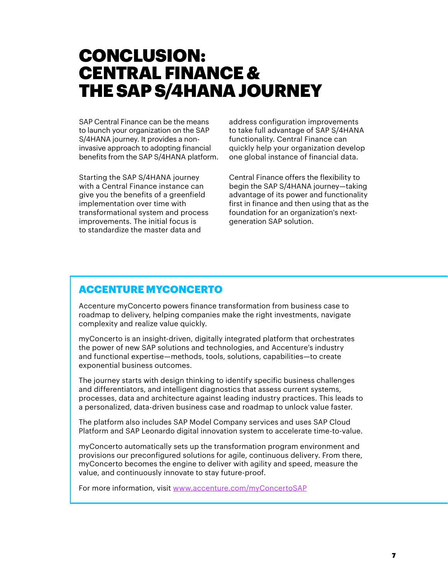### CONCLUSION: CENTRAL FINANCE & THE SAP S/4HANA JOURNEY

SAP Central Finance can be the means to launch your organization on the SAP S/4HANA journey. It provides a noninvasive approach to adopting financial benefits from the SAP S/4HANA platform.

Starting the SAP S/4HANA journey with a Central Finance instance can give you the benefits of a greenfield implementation over time with transformational system and process improvements. The initial focus is to standardize the master data and

address configuration improvements to take full advantage of SAP S/4HANA functionality. Central Finance can quickly help your organization develop one global instance of financial data.

Central Finance offers the flexibility to begin the SAP S/4HANA journey—taking advantage of its power and functionality first in finance and then using that as the foundation for an organization's nextgeneration SAP solution.

### ACCENTURE MYCONCERTO

Accenture myConcerto powers finance transformation from business case to roadmap to delivery, helping companies make the right investments, navigate complexity and realize value quickly.

myConcerto is an insight-driven, digitally integrated platform that orchestrates the power of new SAP solutions and technologies, and Accenture's industry and functional expertise—methods, tools, solutions, capabilities—to create exponential business outcomes.

The journey starts with design thinking to identify specific business challenges and differentiators, and intelligent diagnostics that assess current systems, processes, data and architecture against leading industry practices. This leads to a personalized, data-driven business case and roadmap to unlock value faster.

The platform also includes SAP Model Company services and uses SAP Cloud Platform and SAP Leonardo digital innovation system to accelerate time-to-value.

myConcerto automatically sets up the transformation program environment and provisions our preconfigured solutions for agile, continuous delivery. From there, myConcerto becomes the engine to deliver with agility and speed, measure the value, and continuously innovate to stay future-proof.

For more information, visit [www.accenture.com/myConcertoSAP](http://www.accenture.com/myConcertoSAP)